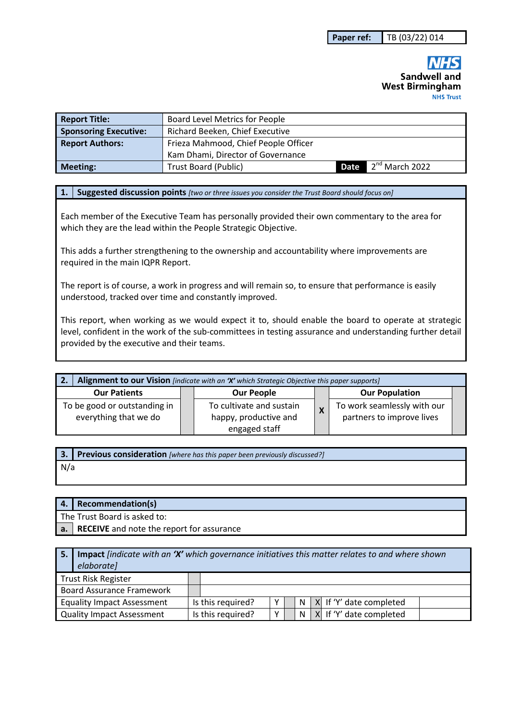## **Sandwell and West Birmingham NHS Trust**

| <b>Report Title:</b>         | <b>Board Level Metrics for People</b> |  |                                 |  |  |  |
|------------------------------|---------------------------------------|--|---------------------------------|--|--|--|
| <b>Sponsoring Executive:</b> | Richard Beeken, Chief Executive       |  |                                 |  |  |  |
| <b>Report Authors:</b>       | Frieza Mahmood, Chief People Officer  |  |                                 |  |  |  |
|                              | Kam Dhami, Director of Governance     |  |                                 |  |  |  |
| Meeting:                     | Trust Board (Public)                  |  | <b>Date</b> $2^{nd}$ March 2022 |  |  |  |

#### **1. Suggested discussion points** *[two or three issues you consider the Trust Board should focus on]*

Each member of the Executive Team has personally provided their own commentary to the area for which they are the lead within the People Strategic Objective.

This adds a further strengthening to the ownership and accountability where improvements are required in the main IQPR Report.

The report is of course, a work in progress and will remain so, to ensure that performance is easily understood, tracked over time and constantly improved.

This report, when working as we would expect it to, should enable the board to operate at strategic level, confident in the work of the sub-committees in testing assurance and understanding further detail provided by the executive and their teams.

| Alignment to our Vision [indicate with an 'X' which Strategic Objective this paper supports]<br><u>' 2.</u> |  |                          |                           |                             |  |  |  |
|-------------------------------------------------------------------------------------------------------------|--|--------------------------|---------------------------|-----------------------------|--|--|--|
| <b>Our Patients</b>                                                                                         |  | <b>Our People</b>        |                           | <b>Our Population</b>       |  |  |  |
| To be good or outstanding in                                                                                |  | To cultivate and sustain | $\boldsymbol{\mathsf{x}}$ | To work seamlessly with our |  |  |  |
| everything that we do                                                                                       |  | happy, productive and    |                           | partners to improve lives   |  |  |  |
|                                                                                                             |  | engaged staff            |                           |                             |  |  |  |

**3. Previous consideration** *[where has this paper been previously discussed?]* N/a

| 4.   Recommendation(s)                       |
|----------------------------------------------|
| The Trust Board is asked to:                 |
| a. RECEIVE and note the report for assurance |

| <b>Impact</b> <i>findicate with an 'X'</i> which governance initiatives this matter relates to and where shown<br>elaborate] |  |                   |   |  |   |  |                             |
|------------------------------------------------------------------------------------------------------------------------------|--|-------------------|---|--|---|--|-----------------------------|
| <b>Trust Risk Register</b>                                                                                                   |  |                   |   |  |   |  |                             |
| <b>Board Assurance Framework</b>                                                                                             |  |                   |   |  |   |  |                             |
| <b>Equality Impact Assessment</b>                                                                                            |  | Is this required? | v |  | N |  | $ X $ If 'Y' date completed |
| <b>Quality Impact Assessment</b>                                                                                             |  | Is this required? | v |  | N |  | X If 'Y' date completed     |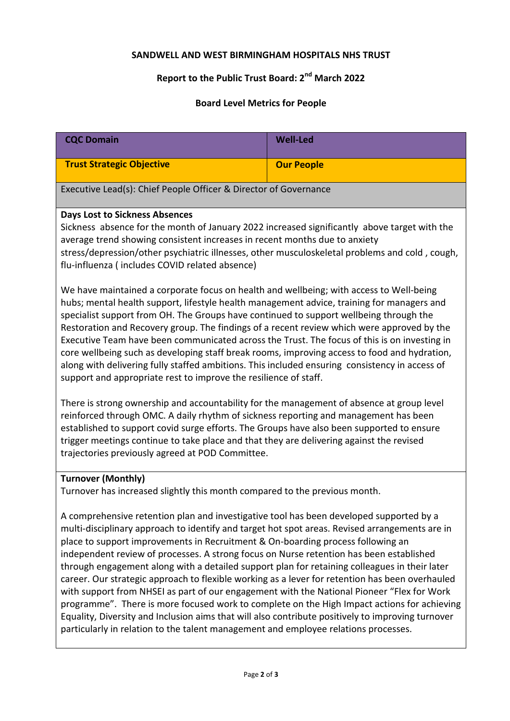### **SANDWELL AND WEST BIRMINGHAM HOSPITALS NHS TRUST**

# **Report to the Public Trust Board: 2nd March 2022**

### **Board Level Metrics for People**

| <b>CQC Domain</b>                                                                                                                                                                                                                                                                                                                                                                                                                                                                                                                                                                                                                                                                                                                                                                                                                                                                                                                                                    | <b>Well-Led</b>   |  |  |  |  |
|----------------------------------------------------------------------------------------------------------------------------------------------------------------------------------------------------------------------------------------------------------------------------------------------------------------------------------------------------------------------------------------------------------------------------------------------------------------------------------------------------------------------------------------------------------------------------------------------------------------------------------------------------------------------------------------------------------------------------------------------------------------------------------------------------------------------------------------------------------------------------------------------------------------------------------------------------------------------|-------------------|--|--|--|--|
| <b>Trust Strategic Objective</b>                                                                                                                                                                                                                                                                                                                                                                                                                                                                                                                                                                                                                                                                                                                                                                                                                                                                                                                                     | <b>Our People</b> |  |  |  |  |
| Executive Lead(s): Chief People Officer & Director of Governance                                                                                                                                                                                                                                                                                                                                                                                                                                                                                                                                                                                                                                                                                                                                                                                                                                                                                                     |                   |  |  |  |  |
| <b>Days Lost to Sickness Absences</b><br>Sickness absence for the month of January 2022 increased significantly above target with the<br>average trend showing consistent increases in recent months due to anxiety<br>stress/depression/other psychiatric illnesses, other musculoskeletal problems and cold, cough,<br>flu-influenza (includes COVID related absence)                                                                                                                                                                                                                                                                                                                                                                                                                                                                                                                                                                                              |                   |  |  |  |  |
| We have maintained a corporate focus on health and wellbeing; with access to Well-being<br>hubs; mental health support, lifestyle health management advice, training for managers and<br>specialist support from OH. The Groups have continued to support wellbeing through the<br>Restoration and Recovery group. The findings of a recent review which were approved by the<br>Executive Team have been communicated across the Trust. The focus of this is on investing in<br>core wellbeing such as developing staff break rooms, improving access to food and hydration,<br>along with delivering fully staffed ambitions. This included ensuring consistency in access of<br>support and appropriate rest to improve the resilience of staff.                                                                                                                                                                                                                  |                   |  |  |  |  |
| There is strong ownership and accountability for the management of absence at group level<br>reinforced through OMC. A daily rhythm of sickness reporting and management has been<br>established to support covid surge efforts. The Groups have also been supported to ensure<br>trigger meetings continue to take place and that they are delivering against the revised<br>trajectories previously agreed at POD Committee.                                                                                                                                                                                                                                                                                                                                                                                                                                                                                                                                       |                   |  |  |  |  |
| <b>Turnover (Monthly)</b><br>Turnover has increased slightly this month compared to the previous month.                                                                                                                                                                                                                                                                                                                                                                                                                                                                                                                                                                                                                                                                                                                                                                                                                                                              |                   |  |  |  |  |
| A comprehensive retention plan and investigative tool has been developed supported by a<br>multi-disciplinary approach to identify and target hot spot areas. Revised arrangements are in<br>place to support improvements in Recruitment & On-boarding process following an<br>independent review of processes. A strong focus on Nurse retention has been established<br>through engagement along with a detailed support plan for retaining colleagues in their later<br>career. Our strategic approach to flexible working as a lever for retention has been overhauled<br>with support from NHSEI as part of our engagement with the National Pioneer "Flex for Work<br>programme". There is more focused work to complete on the High Impact actions for achieving<br>Equality, Diversity and Inclusion aims that will also contribute positively to improving turnover<br>particularly in relation to the talent management and employee relations processes. |                   |  |  |  |  |